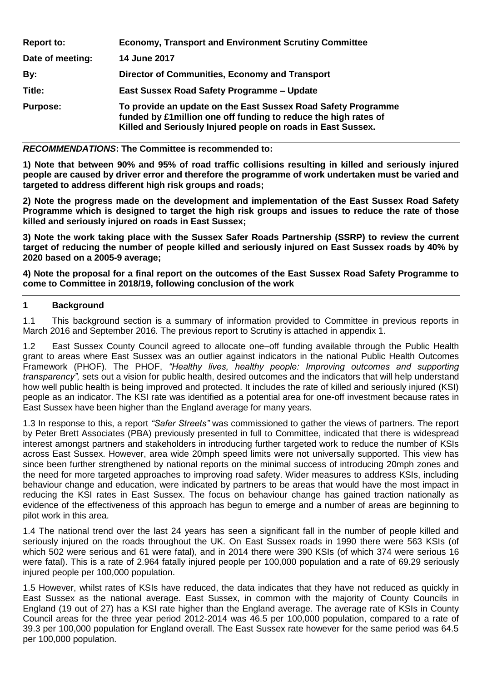| <b>Report to:</b> | <b>Economy, Transport and Environment Scrutiny Committee</b>                                                                                                                                      |
|-------------------|---------------------------------------------------------------------------------------------------------------------------------------------------------------------------------------------------|
| Date of meeting:  | <b>14 June 2017</b>                                                                                                                                                                               |
| By:               | Director of Communities, Economy and Transport                                                                                                                                                    |
| Title:            | East Sussex Road Safety Programme - Update                                                                                                                                                        |
| <b>Purpose:</b>   | To provide an update on the East Sussex Road Safety Programme<br>funded by £1 million one off funding to reduce the high rates of<br>Killed and Seriously Injured people on roads in East Sussex. |

#### *RECOMMENDATIONS***: The Committee is recommended to:**

**1) Note that between 90% and 95% of road traffic collisions resulting in killed and seriously injured people are caused by driver error and therefore the programme of work undertaken must be varied and targeted to address different high risk groups and roads;**

**2) Note the progress made on the development and implementation of the East Sussex Road Safety Programme which is designed to target the high risk groups and issues to reduce the rate of those killed and seriously injured on roads in East Sussex;** 

**3) Note the work taking place with the Sussex Safer Roads Partnership (SSRP) to review the current target of reducing the number of people killed and seriously injured on East Sussex roads by 40% by 2020 based on a 2005-9 average;**

**4) Note the proposal for a final report on the outcomes of the East Sussex Road Safety Programme to come to Committee in 2018/19, following conclusion of the work** 

## **1 Background**

1.1 This background section is a summary of information provided to Committee in previous reports in March 2016 and September 2016. The previous report to Scrutiny is attached in appendix 1.

1.2 East Sussex County Council agreed to allocate one–off funding available through the Public Health grant to areas where East Sussex was an outlier against indicators in the national Public Health Outcomes Framework (PHOF). The PHOF, *"Healthy lives, healthy people: Improving outcomes and supporting transparency",* sets out a vision for public health, desired outcomes and the indicators that will help understand how well public health is being improved and protected. It includes the rate of killed and seriously injured (KSI) people as an indicator. The KSI rate was identified as a potential area for one-off investment because rates in East Sussex have been higher than the England average for many years.

1.3 In response to this, a report *"Safer Streets"* was commissioned to gather the views of partners. The report by Peter Brett Associates (PBA) previously presented in full to Committee, indicated that there is widespread interest amongst partners and stakeholders in introducing further targeted work to reduce the number of KSIs across East Sussex. However, area wide 20mph speed limits were not universally supported. This view has since been further strengthened by national reports on the minimal success of introducing 20mph zones and the need for more targeted approaches to improving road safety. Wider measures to address KSIs, including behaviour change and education, were indicated by partners to be areas that would have the most impact in reducing the KSI rates in East Sussex. The focus on behaviour change has gained traction nationally as evidence of the effectiveness of this approach has begun to emerge and a number of areas are beginning to pilot work in this area.

1.4 The national trend over the last 24 years has seen a significant fall in the number of people killed and seriously injured on the roads throughout the UK. On East Sussex roads in 1990 there were 563 KSIs (of which 502 were serious and 61 were fatal), and in 2014 there were 390 KSIs (of which 374 were serious 16 were fatal). This is a rate of 2.964 fatally injured people per 100,000 population and a rate of 69.29 seriously injured people per 100,000 population.

1.5 However, whilst rates of KSIs have reduced, the data indicates that they have not reduced as quickly in East Sussex as the national average. East Sussex, in common with the majority of County Councils in England (19 out of 27) has a KSI rate higher than the England average. The average rate of KSIs in County Council areas for the three year period 2012-2014 was 46.5 per 100,000 population, compared to a rate of 39.3 per 100,000 population for England overall. The East Sussex rate however for the same period was 64.5 per 100,000 population.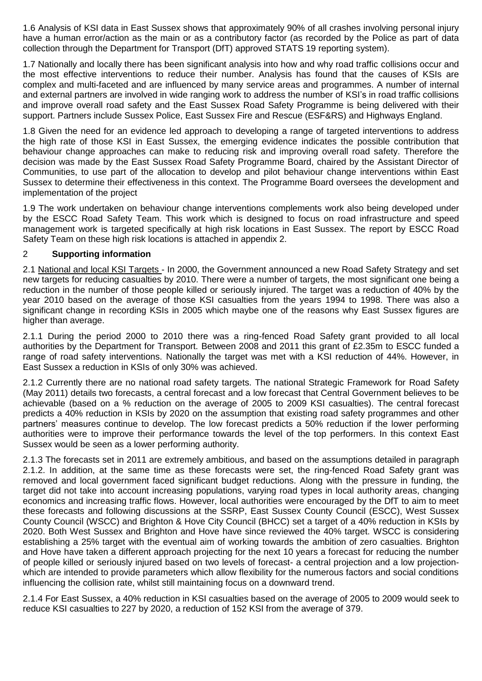1.6 Analysis of KSI data in East Sussex shows that approximately 90% of all crashes involving personal injury have a human error/action as the main or as a contributory factor (as recorded by the Police as part of data collection through the Department for Transport (DfT) approved STATS 19 reporting system).

1.7 Nationally and locally there has been significant analysis into how and why road traffic collisions occur and the most effective interventions to reduce their number. Analysis has found that the causes of KSIs are complex and multi-faceted and are influenced by many service areas and programmes. A number of internal and external partners are involved in wide ranging work to address the number of KSI's in road traffic collisions and improve overall road safety and the East Sussex Road Safety Programme is being delivered with their support. Partners include Sussex Police, East Sussex Fire and Rescue (ESF&RS) and Highways England.

1.8 Given the need for an evidence led approach to developing a range of targeted interventions to address the high rate of those KSI in East Sussex, the emerging evidence indicates the possible contribution that behaviour change approaches can make to reducing risk and improving overall road safety. Therefore the decision was made by the East Sussex Road Safety Programme Board, chaired by the Assistant Director of Communities, to use part of the allocation to develop and pilot behaviour change interventions within East Sussex to determine their effectiveness in this context. The Programme Board oversees the development and implementation of the project

1.9 The work undertaken on behaviour change interventions complements work also being developed under by the ESCC Road Safety Team. This work which is designed to focus on road infrastructure and speed management work is targeted specifically at high risk locations in East Sussex. The report by ESCC Road Safety Team on these high risk locations is attached in appendix 2.

## 2 **Supporting information**

2.1 National and local KSI Targets - In 2000, the Government announced a new Road Safety Strategy and set new targets for reducing casualties by 2010. There were a number of targets, the most significant one being a reduction in the number of those people killed or seriously injured. The target was a reduction of 40% by the year 2010 based on the average of those KSI casualties from the years 1994 to 1998. There was also a significant change in recording KSIs in 2005 which maybe one of the reasons why East Sussex figures are higher than average.

2.1.1 During the period 2000 to 2010 there was a ring-fenced Road Safety grant provided to all local authorities by the Department for Transport. Between 2008 and 2011 this grant of £2.35m to ESCC funded a range of road safety interventions. Nationally the target was met with a KSI reduction of 44%. However, in East Sussex a reduction in KSIs of only 30% was achieved.

2.1.2 Currently there are no national road safety targets. The national Strategic Framework for Road Safety (May 2011) details two forecasts, a central forecast and a low forecast that Central Government believes to be achievable (based on a % reduction on the average of 2005 to 2009 KSI casualties). The central forecast predicts a 40% reduction in KSIs by 2020 on the assumption that existing road safety programmes and other partners' measures continue to develop. The low forecast predicts a 50% reduction if the lower performing authorities were to improve their performance towards the level of the top performers. In this context East Sussex would be seen as a lower performing authority.

2.1.3 The forecasts set in 2011 are extremely ambitious, and based on the assumptions detailed in paragraph 2.1.2. In addition, at the same time as these forecasts were set, the ring-fenced Road Safety grant was removed and local government faced significant budget reductions. Along with the pressure in funding, the target did not take into account increasing populations, varying road types in local authority areas, changing economics and increasing traffic flows. However, local authorities were encouraged by the DfT to aim to meet these forecasts and following discussions at the SSRP, East Sussex County Council (ESCC), West Sussex County Council (WSCC) and Brighton & Hove City Council (BHCC) set a target of a 40% reduction in KSIs by 2020. Both West Sussex and Brighton and Hove have since reviewed the 40% target. WSCC is considering establishing a 25% target with the eventual aim of working towards the ambition of zero casualties. Brighton and Hove have taken a different approach projecting for the next 10 years a forecast for reducing the number of people killed or seriously injured based on two levels of forecast- a central projection and a low projectionwhich are intended to provide parameters which allow flexibility for the numerous factors and social conditions influencing the collision rate, whilst still maintaining focus on a downward trend.

2.1.4 For East Sussex, a 40% reduction in KSI casualties based on the average of 2005 to 2009 would seek to reduce KSI casualties to 227 by 2020, a reduction of 152 KSI from the average of 379.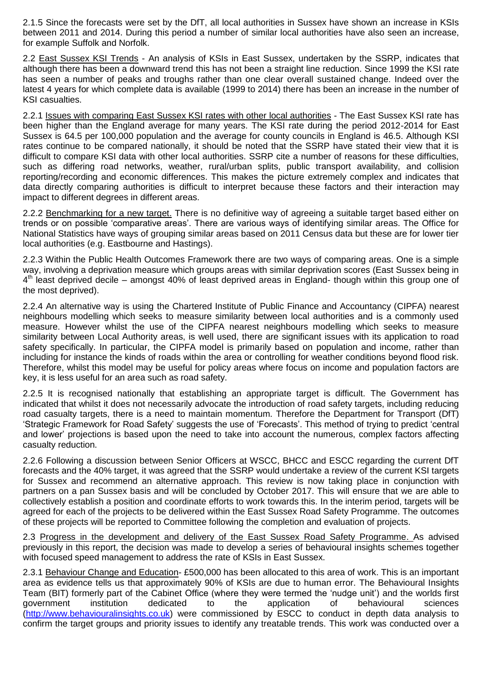2.1.5 Since the forecasts were set by the DfT, all local authorities in Sussex have shown an increase in KSIs between 2011 and 2014. During this period a number of similar local authorities have also seen an increase, for example Suffolk and Norfolk.

2.2 East Sussex KSI Trends - An analysis of KSIs in East Sussex, undertaken by the SSRP, indicates that although there has been a downward trend this has not been a straight line reduction. Since 1999 the KSI rate has seen a number of peaks and troughs rather than one clear overall sustained change. Indeed over the latest 4 years for which complete data is available (1999 to 2014) there has been an increase in the number of KSI casualties.

2.2.1 Issues with comparing East Sussex KSI rates with other local authorities - The East Sussex KSI rate has been higher than the England average for many years. The KSI rate during the period 2012-2014 for East Sussex is 64.5 per 100,000 population and the average for county councils in England is 46.5. Although KSI rates continue to be compared nationally, it should be noted that the SSRP have stated their view that it is difficult to compare KSI data with other local authorities. SSRP cite a number of reasons for these difficulties, such as differing road networks, weather, rural/urban splits, public transport availability, and collision reporting/recording and economic differences. This makes the picture extremely complex and indicates that data directly comparing authorities is difficult to interpret because these factors and their interaction may impact to different degrees in different areas.

2.2.2 Benchmarking for a new target. There is no definitive way of agreeing a suitable target based either on trends or on possible 'comparative areas'. There are various ways of identifying similar areas. The Office for National Statistics have ways of grouping similar areas based on 2011 Census data but these are for lower tier local authorities (e.g. Eastbourne and Hastings).

2.2.3 Within the Public Health Outcomes Framework there are two ways of comparing areas. One is a simple way, involving a deprivation measure which groups areas with similar deprivation scores (East Sussex being in 4<sup>th</sup> least deprived decile – amongst 40% of least deprived areas in England- though within this group one of the most deprived).

2.2.4 An alternative way is using the Chartered Institute of Public Finance and Accountancy (CIPFA) nearest neighbours modelling which seeks to measure similarity between local authorities and is a commonly used measure. However whilst the use of the CIPFA nearest neighbours modelling which seeks to measure similarity between Local Authority areas, is well used, there are significant issues with its application to road safety specifically. In particular, the CIPFA model is primarily based on population and income, rather than including for instance the kinds of roads within the area or controlling for weather conditions beyond flood risk. Therefore, whilst this model may be useful for policy areas where focus on income and population factors are key, it is less useful for an area such as road safety.

2.2.5 It is recognised nationally that establishing an appropriate target is difficult. The Government has indicated that whilst it does not necessarily advocate the introduction of road safety targets, including reducing road casualty targets, there is a need to maintain momentum. Therefore the Department for Transport (DfT) 'Strategic Framework for Road Safety' suggests the use of 'Forecasts'. This method of trying to predict 'central and lower' projections is based upon the need to take into account the numerous, complex factors affecting casualty reduction.

2.2.6 Following a discussion between Senior Officers at WSCC, BHCC and ESCC regarding the current DfT forecasts and the 40% target, it was agreed that the SSRP would undertake a review of the current KSI targets for Sussex and recommend an alternative approach. This review is now taking place in conjunction with partners on a pan Sussex basis and will be concluded by October 2017. This will ensure that we are able to collectively establish a position and coordinate efforts to work towards this. In the interim period, targets will be agreed for each of the projects to be delivered within the East Sussex Road Safety Programme. The outcomes of these projects will be reported to Committee following the completion and evaluation of projects.

2.3 Progress in the development and delivery of the East Sussex Road Safety Programme. As advised previously in this report, the decision was made to develop a series of behavioural insights schemes together with focused speed management to address the rate of KSIs in East Sussex.

2.3.1 Behaviour Change and Education- £500,000 has been allocated to this area of work. This is an important area as evidence tells us that approximately 90% of KSIs are due to human error. The Behavioural Insights Team (BIT) formerly part of the Cabinet Office (where they were termed the 'nudge unit') and the worlds first government institution dedicated to the application of behavioural sciences [\(http://www.behaviouralinsights.co.uk\)](http://www.behaviouralinsights.co.uk/) were commissioned by ESCC to conduct in depth data analysis to confirm the target groups and priority issues to identify any treatable trends. This work was conducted over a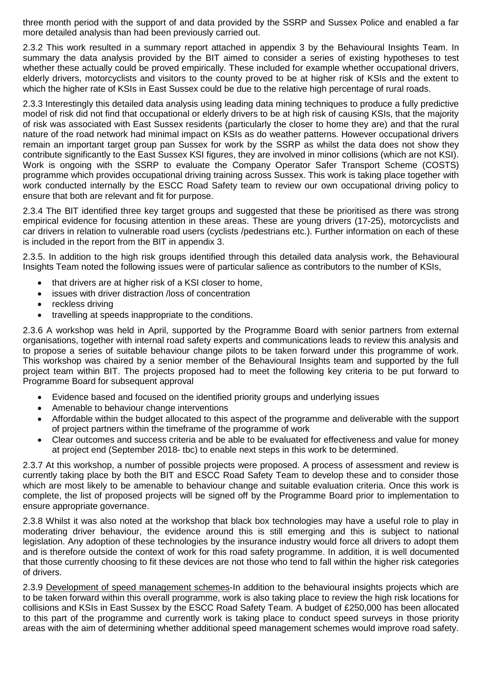three month period with the support of and data provided by the SSRP and Sussex Police and enabled a far more detailed analysis than had been previously carried out.

2.3.2 This work resulted in a summary report attached in appendix 3 by the Behavioural Insights Team. In summary the data analysis provided by the BIT aimed to consider a series of existing hypotheses to test whether these actually could be proved empirically. These included for example whether occupational drivers, elderly drivers, motorcyclists and visitors to the county proved to be at higher risk of KSIs and the extent to which the higher rate of KSIs in East Sussex could be due to the relative high percentage of rural roads.

2.3.3 Interestingly this detailed data analysis using leading data mining techniques to produce a fully predictive model of risk did not find that occupational or elderly drivers to be at high risk of causing KSIs, that the majority of risk was associated with East Sussex residents (particularly the closer to home they are) and that the rural nature of the road network had minimal impact on KSIs as do weather patterns. However occupational drivers remain an important target group pan Sussex for work by the SSRP as whilst the data does not show they contribute significantly to the East Sussex KSI figures, they are involved in minor collisions (which are not KSI). Work is ongoing with the SSRP to evaluate the Company Operator Safer Transport Scheme (COSTS) programme which provides occupational driving training across Sussex. This work is taking place together with work conducted internally by the ESCC Road Safety team to review our own occupational driving policy to ensure that both are relevant and fit for purpose.

2.3.4 The BIT identified three key target groups and suggested that these be prioritised as there was strong empirical evidence for focusing attention in these areas. These are young drivers (17-25), motorcyclists and car drivers in relation to vulnerable road users (cyclists /pedestrians etc.). Further information on each of these is included in the report from the BIT in appendix 3.

2.3.5. In addition to the high risk groups identified through this detailed data analysis work, the Behavioural Insights Team noted the following issues were of particular salience as contributors to the number of KSIs,

- that drivers are at higher risk of a KSI closer to home,
- issues with driver distraction /loss of concentration
- reckless driving
- travelling at speeds inappropriate to the conditions.

2.3.6 A workshop was held in April, supported by the Programme Board with senior partners from external organisations, together with internal road safety experts and communications leads to review this analysis and to propose a series of suitable behaviour change pilots to be taken forward under this programme of work. This workshop was chaired by a senior member of the Behavioural Insights team and supported by the full project team within BIT. The projects proposed had to meet the following key criteria to be put forward to Programme Board for subsequent approval

- Evidence based and focused on the identified priority groups and underlying issues
- Amenable to behaviour change interventions
- Affordable within the budget allocated to this aspect of the programme and deliverable with the support of project partners within the timeframe of the programme of work
- Clear outcomes and success criteria and be able to be evaluated for effectiveness and value for money at project end (September 2018- tbc) to enable next steps in this work to be determined.

2.3.7 At this workshop, a number of possible projects were proposed. A process of assessment and review is currently taking place by both the BIT and ESCC Road Safety Team to develop these and to consider those which are most likely to be amenable to behaviour change and suitable evaluation criteria. Once this work is complete, the list of proposed projects will be signed off by the Programme Board prior to implementation to ensure appropriate governance.

2.3.8 Whilst it was also noted at the workshop that black box technologies may have a useful role to play in moderating driver behaviour, the evidence around this is still emerging and this is subject to national legislation. Any adoption of these technologies by the insurance industry would force all drivers to adopt them and is therefore outside the context of work for this road safety programme. In addition, it is well documented that those currently choosing to fit these devices are not those who tend to fall within the higher risk categories of drivers.

2.3.9 Development of speed management schemes-In addition to the behavioural insights projects which are to be taken forward within this overall programme, work is also taking place to review the high risk locations for collisions and KSIs in East Sussex by the ESCC Road Safety Team. A budget of £250,000 has been allocated to this part of the programme and currently work is taking place to conduct speed surveys in those priority areas with the aim of determining whether additional speed management schemes would improve road safety.